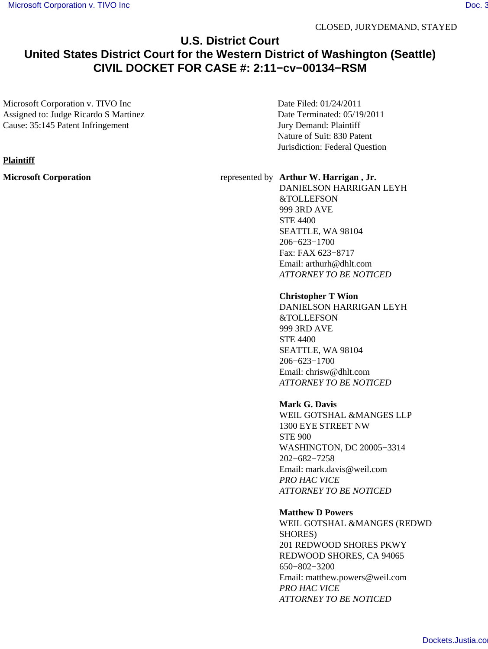# **U.S. District Court United States District Court for the Western District of Washington (Seattle) CIVIL DOCKET FOR CASE #: 2:11−cv−00134−RSM**

Microsoft Corporation v. TIVO Inc Assigned to: Judge Ricardo S Martinez Cause: 35:145 Patent Infringement

Date Filed: 01/24/2011 Date Terminated: 05/19/2011 Jury Demand: Plaintiff Nature of Suit: 830 Patent Jurisdiction: Federal Question

## **Microsoft Corporation** represented by **Arthur W. Harrigan , Jr.**

DANIELSON HARRIGAN LEYH &TOLLEFSON 999 3RD AVE STE 4400 SEATTLE, WA 98104 206−623−1700 Fax: FAX 623−8717 Email: arthurh@dhlt.com *ATTORNEY TO BE NOTICED*

## **Christopher T Wion**

DANIELSON HARRIGAN LEYH &TOLLEFSON 999 3RD AVE STE 4400 SEATTLE, WA 98104 206−623−1700 Email: chrisw@dhlt.com *ATTORNEY TO BE NOTICED*

# **Mark G. Davis**

WEIL GOTSHAL &MANGES LLP 1300 EYE STREET NW STE 900 WASHINGTON, DC 20005−3314 202−682−7258 Email: mark.davis@weil.com *PRO HAC VICE ATTORNEY TO BE NOTICED*

## **Matthew D Powers**

WEIL GOTSHAL &MANGES (REDWD SHORES) 201 REDWOOD SHORES PKWY REDWOOD SHORES, CA 94065 650−802−3200 Email: matthew.powers@weil.com *PRO HAC VICE ATTORNEY TO BE NOTICED*

## **Plaintiff**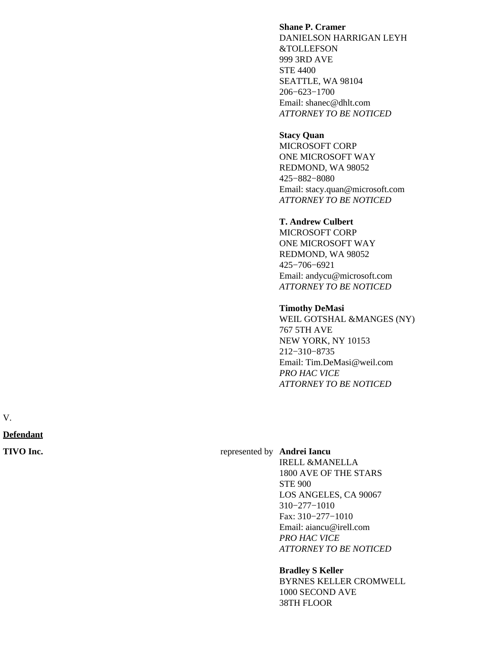## **Shane P. Cramer**

DANIELSON HARRIGAN LEYH &TOLLEFSON 999 3RD AVE STE 4400 SEATTLE, WA 98104 206−623−1700 Email: shanec@dhlt.com *ATTORNEY TO BE NOTICED*

#### **Stacy Quan**

MICROSOFT CORP ONE MICROSOFT WAY REDMOND, WA 98052 425−882−8080 Email: stacy.quan@microsoft.com *ATTORNEY TO BE NOTICED*

## **T. Andrew Culbert**

MICROSOFT CORP ONE MICROSOFT WAY REDMOND, WA 98052 425−706−6921 Email: andycu@microsoft.com *ATTORNEY TO BE NOTICED*

#### **Timothy DeMasi**

WEIL GOTSHAL &MANGES (NY) 767 5TH AVE NEW YORK, NY 10153 212−310−8735 Email: Tim.DeMasi@weil.com *PRO HAC VICE ATTORNEY TO BE NOTICED*

V.

**Defendant**

#### **TIVO Inc. represented by Andrei Iancu**

IRELL &MANELLA 1800 AVE OF THE STARS STE 900 LOS ANGELES, CA 90067 310−277−1010 Fax: 310−277−1010 Email: aiancu@irell.com *PRO HAC VICE ATTORNEY TO BE NOTICED*

#### **Bradley S Keller**

BYRNES KELLER CROMWELL 1000 SECOND AVE 38TH FLOOR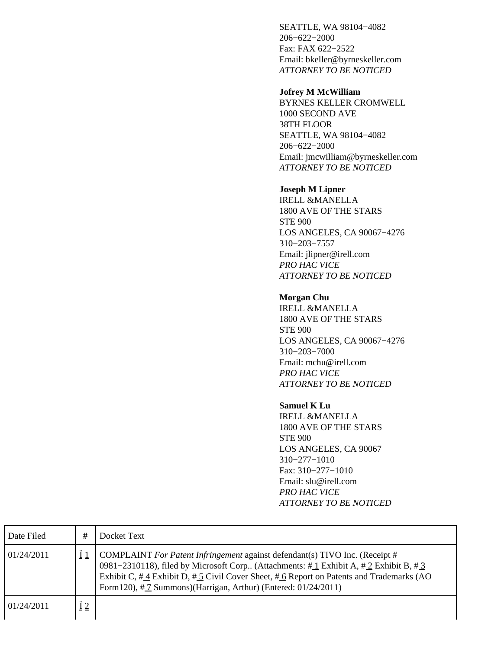SEATTLE, WA 98104−4082 206−622−2000 Fax: FAX 622−2522 Email: bkeller@byrneskeller.com *ATTORNEY TO BE NOTICED*

#### **Jofrey M McWilliam**

BYRNES KELLER CROMWELL 1000 SECOND AVE 38TH FLOOR SEATTLE, WA 98104−4082 206−622−2000 Email: jmcwilliam@byrneskeller.com *ATTORNEY TO BE NOTICED*

# **Joseph M Lipner**

IRELL &MANELLA 1800 AVE OF THE STARS STE 900 LOS ANGELES, CA 90067−4276 310−203−7557 Email: jlipner@irell.com *PRO HAC VICE ATTORNEY TO BE NOTICED*

# **Morgan Chu**

IRELL &MANELLA 1800 AVE OF THE STARS STE 900 LOS ANGELES, CA 90067−4276 310−203−7000 Email: mchu@irell.com *PRO HAC VICE ATTORNEY TO BE NOTICED*

# **Samuel K Lu**

IRELL &MANELLA 1800 AVE OF THE STARS STE 900 LOS ANGELES, CA 90067 310−277−1010 Fax: 310−277−1010 Email: slu@irell.com *PRO HAC VICE ATTORNEY TO BE NOTICED*

| Date Filed | #           | Docket Text                                                                                                                                                                                                                                                                                                                                                       |
|------------|-------------|-------------------------------------------------------------------------------------------------------------------------------------------------------------------------------------------------------------------------------------------------------------------------------------------------------------------------------------------------------------------|
| 01/24/2011 |             | COMPLAINT For Patent Infringement against defendant(s) TIVO Inc. (Receipt #<br>0981–2310118), filed by Microsoft Corp (Attachments: $\#$ 1 Exhibit A, $\#$ 2 Exhibit B, $\#$ 3<br>Exhibit C, $\#$ 4 Exhibit D, $\#$ 5 Civil Cover Sheet, $\#$ 6 Report on Patents and Trademarks (AO<br>Form120), $\#$ $\bar{Z}$ Summons)(Harrigan, Arthur) (Entered: 01/24/2011) |
| 01/24/2011 | $\ddot{I}2$ |                                                                                                                                                                                                                                                                                                                                                                   |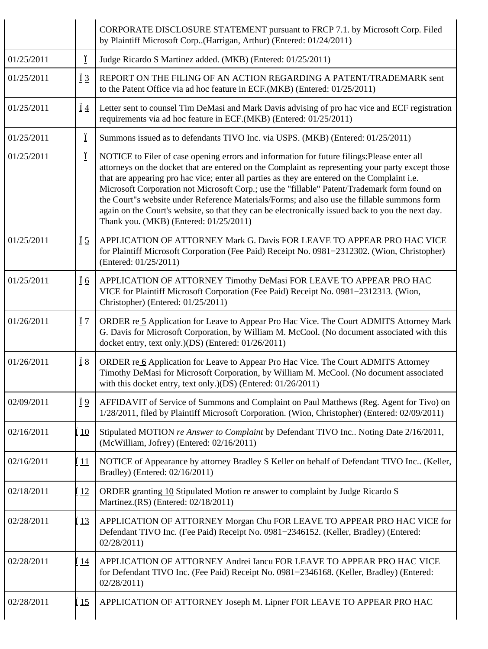|            |                 | CORPORATE DISCLOSURE STATEMENT pursuant to FRCP 7.1. by Microsoft Corp. Filed<br>by Plaintiff Microsoft Corp(Harrigan, Arthur) (Entered: 01/24/2011)                                                                                                                                                                                                                                                                                                                                                                                                                                                                                           |
|------------|-----------------|------------------------------------------------------------------------------------------------------------------------------------------------------------------------------------------------------------------------------------------------------------------------------------------------------------------------------------------------------------------------------------------------------------------------------------------------------------------------------------------------------------------------------------------------------------------------------------------------------------------------------------------------|
| 01/25/2011 | Ϊ               | Judge Ricardo S Martinez added. (MKB) (Entered: 01/25/2011)                                                                                                                                                                                                                                                                                                                                                                                                                                                                                                                                                                                    |
| 01/25/2011 | $\overline{1}3$ | REPORT ON THE FILING OF AN ACTION REGARDING A PATENT/TRADEMARK sent<br>to the Patent Office via ad hoc feature in ECF.(MKB) (Entered: 01/25/2011)                                                                                                                                                                                                                                                                                                                                                                                                                                                                                              |
| 01/25/2011 | $\overline{1}4$ | Letter sent to counsel Tim DeMasi and Mark Davis advising of pro hac vice and ECF registration<br>requirements via ad hoc feature in ECF.(MKB) (Entered: 01/25/2011)                                                                                                                                                                                                                                                                                                                                                                                                                                                                           |
| 01/25/2011 | Ϊ               | Summons issued as to defendants TIVO Inc. via USPS. (MKB) (Entered: 01/25/2011)                                                                                                                                                                                                                                                                                                                                                                                                                                                                                                                                                                |
| 01/25/2011 | Ϊ               | NOTICE to Filer of case opening errors and information for future filings: Please enter all<br>attorneys on the docket that are entered on the Complaint as representing your party except those<br>that are appearing pro hac vice; enter all parties as they are entered on the Complaint i.e.<br>Microsoft Corporation not Microsoft Corp.; use the "fillable" Patent/Trademark form found on<br>the Court"s website under Reference Materials/Forms; and also use the fillable summons form<br>again on the Court's website, so that they can be electronically issued back to you the next day.<br>Thank you. (MKB) (Entered: 01/25/2011) |
| 01/25/2011 | $\overline{1}5$ | APPLICATION OF ATTORNEY Mark G. Davis FOR LEAVE TO APPEAR PRO HAC VICE<br>for Plaintiff Microsoft Corporation (Fee Paid) Receipt No. 0981-2312302. (Wion, Christopher)<br>(Entered: 01/25/2011)                                                                                                                                                                                                                                                                                                                                                                                                                                                |
| 01/25/2011 | <u>Ï 6</u>      | APPLICATION OF ATTORNEY Timothy DeMasi FOR LEAVE TO APPEAR PRO HAC<br>VICE for Plaintiff Microsoft Corporation (Fee Paid) Receipt No. 0981-2312313. (Wion,<br>Christopher) (Entered: 01/25/2011)                                                                                                                                                                                                                                                                                                                                                                                                                                               |
| 01/26/2011 | Ϊ7              | ORDER re 5 Application for Leave to Appear Pro Hac Vice. The Court ADMITS Attorney Mark<br>G. Davis for Microsoft Corporation, by William M. McCool. (No document associated with this<br>docket entry, text only.)(DS) (Entered: 01/26/2011)                                                                                                                                                                                                                                                                                                                                                                                                  |
| 01/26/2011 | <u>Ϊ</u> 8      | ORDER re 6 Application for Leave to Appear Pro Hac Vice. The Court ADMITS Attorney<br>Timothy DeMasi for Microsoft Corporation, by William M. McCool. (No document associated<br>with this docket entry, text only.)(DS) (Entered: 01/26/2011)                                                                                                                                                                                                                                                                                                                                                                                                 |
| 02/09/2011 | Ϊ <sup>9</sup>  | AFFIDAVIT of Service of Summons and Complaint on Paul Matthews (Reg. Agent for Tivo) on<br>1/28/2011, filed by Plaintiff Microsoft Corporation. (Wion, Christopher) (Entered: 02/09/2011)                                                                                                                                                                                                                                                                                                                                                                                                                                                      |
| 02/16/2011 | Í 10            | Stipulated MOTION re Answer to Complaint by Defendant TIVO Inc Noting Date 2/16/2011,<br>(McWilliam, Jofrey) (Entered: 02/16/2011)                                                                                                                                                                                                                                                                                                                                                                                                                                                                                                             |
| 02/16/2011 | <u>[ 11</u>     | NOTICE of Appearance by attorney Bradley S Keller on behalf of Defendant TIVO Inc (Keller,<br>Bradley) (Entered: 02/16/2011)                                                                                                                                                                                                                                                                                                                                                                                                                                                                                                                   |
| 02/18/2011 | 12              | ORDER granting 10 Stipulated Motion re answer to complaint by Judge Ricardo S<br>Martinez.(RS) (Entered: 02/18/2011)                                                                                                                                                                                                                                                                                                                                                                                                                                                                                                                           |
| 02/28/2011 | <u>[13</u>      | APPLICATION OF ATTORNEY Morgan Chu FOR LEAVE TO APPEAR PRO HAC VICE for<br>Defendant TIVO Inc. (Fee Paid) Receipt No. 0981-2346152. (Keller, Bradley) (Entered:<br>02/28/2011)                                                                                                                                                                                                                                                                                                                                                                                                                                                                 |
| 02/28/2011 | 14              | APPLICATION OF ATTORNEY Andrei Iancu FOR LEAVE TO APPEAR PRO HAC VICE<br>for Defendant TIVO Inc. (Fee Paid) Receipt No. 0981-2346168. (Keller, Bradley) (Entered:<br>02/28/2011                                                                                                                                                                                                                                                                                                                                                                                                                                                                |
| 02/28/2011 | 15              | APPLICATION OF ATTORNEY Joseph M. Lipner FOR LEAVE TO APPEAR PRO HAC                                                                                                                                                                                                                                                                                                                                                                                                                                                                                                                                                                           |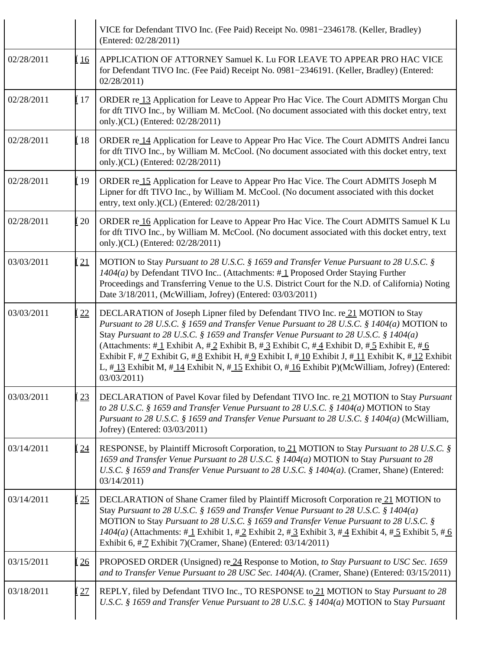|            |                | VICE for Defendant TIVO Inc. (Fee Paid) Receipt No. 0981–2346178. (Keller, Bradley)<br>(Entered: 02/28/2011)                                                                                                                                                                                                                                                                                                                                                                                                                                                                                                                |
|------------|----------------|-----------------------------------------------------------------------------------------------------------------------------------------------------------------------------------------------------------------------------------------------------------------------------------------------------------------------------------------------------------------------------------------------------------------------------------------------------------------------------------------------------------------------------------------------------------------------------------------------------------------------------|
| 02/28/2011 | $\frac{16}{2}$ | APPLICATION OF ATTORNEY Samuel K. Lu FOR LEAVE TO APPEAR PRO HAC VICE<br>for Defendant TIVO Inc. (Fee Paid) Receipt No. 0981-2346191. (Keller, Bradley) (Entered:<br>02/28/2011                                                                                                                                                                                                                                                                                                                                                                                                                                             |
| 02/28/2011 | [ 17           | ORDER re 13 Application for Leave to Appear Pro Hac Vice. The Court ADMITS Morgan Chu<br>for dft TIVO Inc., by William M. McCool. (No document associated with this docket entry, text<br>only.)(CL) (Entered: 02/28/2011)                                                                                                                                                                                                                                                                                                                                                                                                  |
| 02/28/2011 | <u>i</u> 18    | ORDER re 14 Application for Leave to Appear Pro Hac Vice. The Court ADMITS Andrei Iancu<br>for dft TIVO Inc., by William M. McCool. (No document associated with this docket entry, text<br>only.)(CL) (Entered: 02/28/2011)                                                                                                                                                                                                                                                                                                                                                                                                |
| 02/28/2011 | Í 19           | ORDER re 15 Application for Leave to Appear Pro Hac Vice. The Court ADMITS Joseph M<br>Lipner for dft TIVO Inc., by William M. McCool. (No document associated with this docket<br>entry, text only.)(CL) (Entered: 02/28/2011)                                                                                                                                                                                                                                                                                                                                                                                             |
| 02/28/2011 | 20             | ORDER re 16 Application for Leave to Appear Pro Hac Vice. The Court ADMITS Samuel K Lu<br>for dft TIVO Inc., by William M. McCool. (No document associated with this docket entry, text<br>only.)(CL) (Entered: 02/28/2011)                                                                                                                                                                                                                                                                                                                                                                                                 |
| 03/03/2011 | 21             | MOTION to Stay Pursuant to 28 U.S.C. § 1659 and Transfer Venue Pursuant to 28 U.S.C. §<br>$1404(a)$ by Defendant TIVO Inc (Attachments: #1 Proposed Order Staying Further<br>Proceedings and Transferring Venue to the U.S. District Court for the N.D. of California) Noting<br>Date 3/18/2011, (McWilliam, Jofrey) (Entered: 03/03/2011)                                                                                                                                                                                                                                                                                  |
| 03/03/2011 | 22             | DECLARATION of Joseph Lipner filed by Defendant TIVO Inc. re 21 MOTION to Stay<br>Pursuant to 28 U.S.C. § 1659 and Transfer Venue Pursuant to 28 U.S.C. § 1404(a) MOTION to<br>Stay Pursuant to 28 U.S.C. § 1659 and Transfer Venue Pursuant to 28 U.S.C. § 1404(a)<br>(Attachments: #1 Exhibit A, #2 Exhibit B, #3 Exhibit C, #4 Exhibit D, #5 Exhibit E, #6<br>Exhibit F, $\#\_I$ Exhibit G, $\#\_S$ Exhibit H, $\#\_9$ Exhibit I, $\#\_10$ Exhibit J, $\#\_11$ Exhibit K, $\#\_12$ Exhibit<br>L, $\#$ 13 Exhibit M, $\#$ 14 Exhibit N, $\#$ 15 Exhibit O, $\#$ 16 Exhibit P)(McWilliam, Jofrey) (Entered:<br>03/03/2011) |
| 03/03/2011 | 23             | DECLARATION of Pavel Kovar filed by Defendant TIVO Inc. re 21 MOTION to Stay Pursuant<br>to 28 U.S.C. § 1659 and Transfer Venue Pursuant to 28 U.S.C. § 1404(a) MOTION to Stay<br>Pursuant to 28 U.S.C. § 1659 and Transfer Venue Pursuant to 28 U.S.C. § 1404(a) (McWilliam,<br>Jofrey) (Entered: 03/03/2011)                                                                                                                                                                                                                                                                                                              |
| 03/14/2011 | 24             | RESPONSE, by Plaintiff Microsoft Corporation, to 21 MOTION to Stay Pursuant to 28 U.S.C. §<br>1659 and Transfer Venue Pursuant to 28 U.S.C. § 1404(a) MOTION to Stay Pursuant to 28<br>U.S.C. § 1659 and Transfer Venue Pursuant to 28 U.S.C. § 1404(a). (Cramer, Shane) (Entered:<br>03/14/2011                                                                                                                                                                                                                                                                                                                            |
| 03/14/2011 | 25             | DECLARATION of Shane Cramer filed by Plaintiff Microsoft Corporation re 21 MOTION to<br>Stay Pursuant to 28 U.S.C. § 1659 and Transfer Venue Pursuant to 28 U.S.C. § 1404(a)<br>MOTION to Stay Pursuant to 28 U.S.C. § 1659 and Transfer Venue Pursuant to 28 U.S.C. §<br>$1404(a)$ (Attachments: #1 Exhibit 1, #2 Exhibit 2, #3 Exhibit 3, #4 Exhibit 4, #5 Exhibit 5, #6<br>Exhibit 6, $\#$ Z Exhibit 7)(Cramer, Shane) (Entered: 03/14/2011)                                                                                                                                                                             |
| 03/15/2011 | 26             | PROPOSED ORDER (Unsigned) re 24 Response to Motion, to Stay Pursuant to USC Sec. 1659<br>and to Transfer Venue Pursuant to 28 USC Sec. 1404(A). (Cramer, Shane) (Entered: 03/15/2011)                                                                                                                                                                                                                                                                                                                                                                                                                                       |
| 03/18/2011 | 27             | REPLY, filed by Defendant TIVO Inc., TO RESPONSE to 21 MOTION to Stay Pursuant to 28<br>U.S.C. § 1659 and Transfer Venue Pursuant to 28 U.S.C. § 1404(a) MOTION to Stay Pursuant                                                                                                                                                                                                                                                                                                                                                                                                                                            |